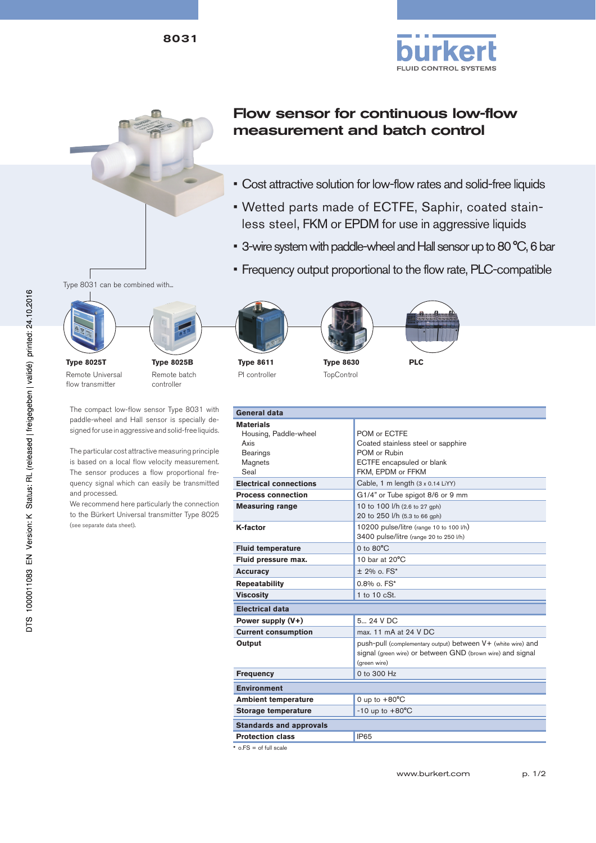



8031

## Flow sensor for continuous low-flow measurement and batch control

- Cost attractive solution for low-flow rates and solid-free liquids
- Wetted parts made of ECTFE, Saphir, coated stainless steel, FKM or EPDM for use in aggressive liquids
- 3-wire system with paddle-wheel and Hall sensor up to 80 °C, 6 bar
- Frequency output proportional to the flow rate, PLC-compatible





**Type 8025T** Remote Universal flow transmitter

**Type 8025B** Remote batch controller

The compact low-flow sensor Type 8031 with paddle-wheel and Hall sensor is specially designed for use in aggressive and solid-free liquids.

The particular cost attractive measuring principle is based on a local flow velocity measurement. The sensor produces a flow proportional frequency signal which can easily be transmitted and processed.

We recommend here particularly the connection to the Bürkert Universal transmitter Type 8025 (see separate data sheet).



**Type 8611** PI controller





**TopControl** 



| <b>General data</b>                                                                                                      |                                                                                                                                                           |  |  |  |  |
|--------------------------------------------------------------------------------------------------------------------------|-----------------------------------------------------------------------------------------------------------------------------------------------------------|--|--|--|--|
| <b>Materials</b><br>Housing, Paddle-wheel<br>Axis<br><b>Bearings</b><br>Magnets<br>Seal<br><b>Electrical connections</b> | POM or ECTFE<br>Coated stainless steel or sapphire<br>POM or Rubin<br>ECTFE encapsuled or blank<br>FKM, EPDM or FFKM<br>Cable, 1 m length (3 x 0.14 LiYY) |  |  |  |  |
| <b>Process connection</b>                                                                                                | G1/4" or Tube spigot 8/6 or 9 mm                                                                                                                          |  |  |  |  |
| <b>Measuring range</b>                                                                                                   | 10 to 100 l/h (2.6 to 27 gph)<br>20 to 250 l/h (5.3 to 66 gph)                                                                                            |  |  |  |  |
| K-factor                                                                                                                 | 10200 pulse/litre (range 10 to 100 I/h)<br>3400 pulse/litre (range 20 to 250 I/h)                                                                         |  |  |  |  |
| <b>Fluid temperature</b>                                                                                                 | $0$ to $80^{\circ}$ C                                                                                                                                     |  |  |  |  |
| Fluid pressure max.                                                                                                      | 10 bar at $20^{\circ}$ C                                                                                                                                  |  |  |  |  |
| <b>Accuracy</b>                                                                                                          | $± 2\%$ o. FS*                                                                                                                                            |  |  |  |  |
| <b>Repeatability</b>                                                                                                     | $0.8\%$ o. $FS^*$                                                                                                                                         |  |  |  |  |
| <b>Viscosity</b>                                                                                                         | 1 to $10$ $cSt.$                                                                                                                                          |  |  |  |  |
| <b>Electrical data</b>                                                                                                   |                                                                                                                                                           |  |  |  |  |
| Power supply (V+)                                                                                                        | 5 24 V DC                                                                                                                                                 |  |  |  |  |
| <b>Current consumption</b>                                                                                               | max. 11 mA at 24 V DC                                                                                                                                     |  |  |  |  |
| Output                                                                                                                   | push-pull (complementary output) between V+ (white wire) and<br>signal (green wire) or between GND (brown wire) and signal<br>(areen wire)                |  |  |  |  |
| <b>Frequency</b>                                                                                                         | 0 to 300 $Hz$                                                                                                                                             |  |  |  |  |
| <b>Environment</b>                                                                                                       |                                                                                                                                                           |  |  |  |  |
| <b>Ambient temperature</b>                                                                                               | 0 up to $+80^{\circ}$ C                                                                                                                                   |  |  |  |  |
| <b>Storage temperature</b>                                                                                               | $-10$ up to $+80^{\circ}$ C                                                                                                                               |  |  |  |  |
| <b>Standards and approvals</b>                                                                                           |                                                                                                                                                           |  |  |  |  |
| <b>Protection class</b>                                                                                                  | <b>IP65</b>                                                                                                                                               |  |  |  |  |
| $*$ o. FS = of full scale                                                                                                |                                                                                                                                                           |  |  |  |  |